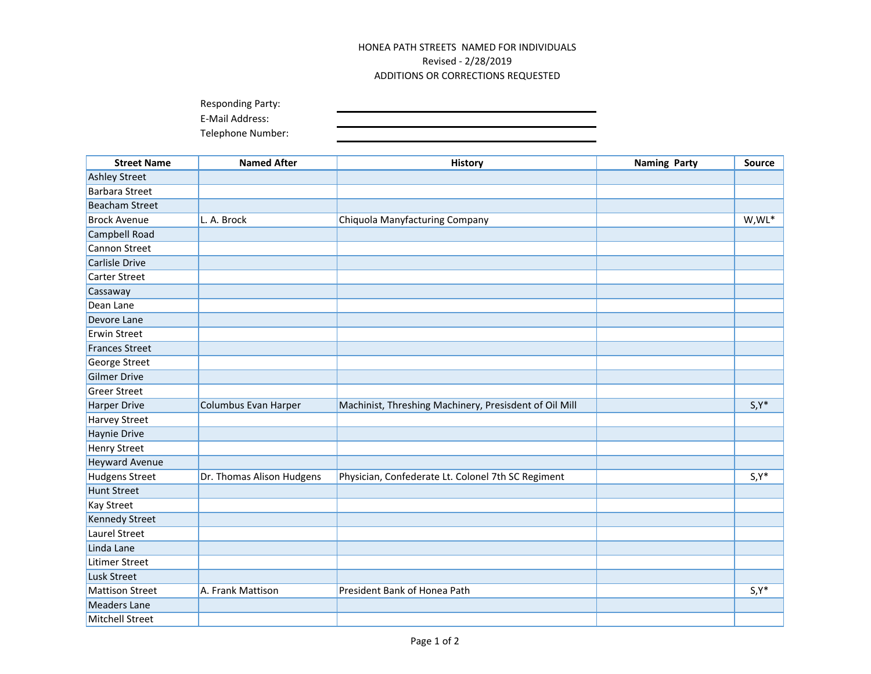## HONEA PATH STREETS NAMED FOR INDIVIDUALS Revised - 2/28/2019 ADDITIONS OR CORRECTIONS REQUESTED

| <b>Responding Party:</b> |  |
|--------------------------|--|
| E-Mail Address:          |  |
| Telephone Number:        |  |

| <b>Street Name</b>     | <b>Named After</b>        | <b>History</b>                                         | <b>Naming Party</b> | <b>Source</b> |
|------------------------|---------------------------|--------------------------------------------------------|---------------------|---------------|
| <b>Ashley Street</b>   |                           |                                                        |                     |               |
| <b>Barbara Street</b>  |                           |                                                        |                     |               |
| <b>Beacham Street</b>  |                           |                                                        |                     |               |
| <b>Brock Avenue</b>    | L. A. Brock               | Chiquola Manyfacturing Company                         |                     | W,WL*         |
| Campbell Road          |                           |                                                        |                     |               |
| Cannon Street          |                           |                                                        |                     |               |
| Carlisle Drive         |                           |                                                        |                     |               |
| <b>Carter Street</b>   |                           |                                                        |                     |               |
| Cassaway               |                           |                                                        |                     |               |
| Dean Lane              |                           |                                                        |                     |               |
| Devore Lane            |                           |                                                        |                     |               |
| <b>Erwin Street</b>    |                           |                                                        |                     |               |
| <b>Frances Street</b>  |                           |                                                        |                     |               |
| George Street          |                           |                                                        |                     |               |
| <b>Gilmer Drive</b>    |                           |                                                        |                     |               |
| <b>Greer Street</b>    |                           |                                                        |                     |               |
| <b>Harper Drive</b>    | Columbus Evan Harper      | Machinist, Threshing Machinery, Presisdent of Oil Mill |                     | $S, Y^*$      |
| <b>Harvey Street</b>   |                           |                                                        |                     |               |
| Haynie Drive           |                           |                                                        |                     |               |
| <b>Henry Street</b>    |                           |                                                        |                     |               |
| <b>Heyward Avenue</b>  |                           |                                                        |                     |               |
| <b>Hudgens Street</b>  | Dr. Thomas Alison Hudgens | Physician, Confederate Lt. Colonel 7th SC Regiment     |                     | $S, Y^*$      |
| <b>Hunt Street</b>     |                           |                                                        |                     |               |
| <b>Kay Street</b>      |                           |                                                        |                     |               |
| <b>Kennedy Street</b>  |                           |                                                        |                     |               |
| Laurel Street          |                           |                                                        |                     |               |
| Linda Lane             |                           |                                                        |                     |               |
| Litimer Street         |                           |                                                        |                     |               |
| Lusk Street            |                           |                                                        |                     |               |
| <b>Mattison Street</b> | A. Frank Mattison         | President Bank of Honea Path                           |                     | $S, Y^*$      |
| <b>Meaders Lane</b>    |                           |                                                        |                     |               |
| <b>Mitchell Street</b> |                           |                                                        |                     |               |